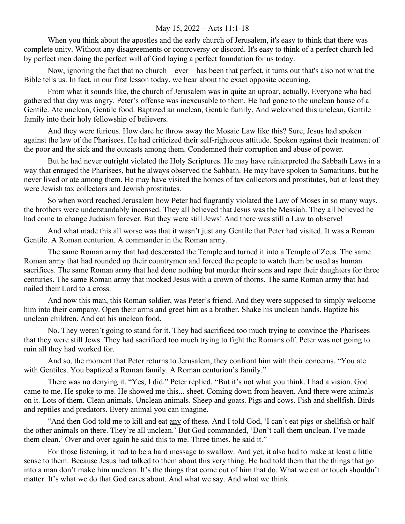## May 15, 2022 – Acts 11:1-18

When you think about the apostles and the early church of Jerusalem, it's easy to think that there was complete unity. Without any disagreements or controversy or discord. It's easy to think of a perfect church led by perfect men doing the perfect will of God laying a perfect foundation for us today.

Now, ignoring the fact that no church – ever – has been that perfect, it turns out that's also not what the Bible tells us. In fact, in our first lesson today, we hear about the exact opposite occurring.

From what it sounds like, the church of Jerusalem was in quite an uproar, actually. Everyone who had gathered that day was angry. Peter's offense was inexcusable to them. He had gone to the unclean house of a Gentile. Ate unclean, Gentile food. Baptized an unclean, Gentile family. And welcomed this unclean, Gentile family into their holy fellowship of believers.

And they were furious. How dare he throw away the Mosaic Law like this? Sure, Jesus had spoken against the law of the Pharisees. He had criticized their self-righteous attitude. Spoken against their treatment of the poor and the sick and the outcasts among them. Condemned their corruption and abuse of power.

But he had never outright violated the Holy Scriptures. He may have reinterpreted the Sabbath Laws in a way that enraged the Pharisees, but he always observed the Sabbath. He may have spoken to Samaritans, but he never lived or ate among them. He may have visited the homes of tax collectors and prostitutes, but at least they were Jewish tax collectors and Jewish prostitutes.

So when word reached Jerusalem how Peter had flagrantly violated the Law of Moses in so many ways, the brothers were understandably incensed. They all believed that Jesus was the Messiah. They all believed he had come to change Judaism forever. But they were still Jews! And there was still a Law to observe!

And what made this all worse was that it wasn't just any Gentile that Peter had visited. It was a Roman Gentile. A Roman centurion. A commander in the Roman army.

The same Roman army that had desecrated the Temple and turned it into a Temple of Zeus. The same Roman army that had rounded up their countrymen and forced the people to watch them be used as human sacrifices. The same Roman army that had done nothing but murder their sons and rape their daughters for three centuries. The same Roman army that mocked Jesus with a crown of thorns. The same Roman army that had nailed their Lord to a cross.

And now this man, this Roman soldier, was Peter's friend. And they were supposed to simply welcome him into their company. Open their arms and greet him as a brother. Shake his unclean hands. Baptize his unclean children. And eat his unclean food.

No. They weren't going to stand for it. They had sacrificed too much trying to convince the Pharisees that they were still Jews. They had sacrificed too much trying to fight the Romans off. Peter was not going to ruin all they had worked for.

And so, the moment that Peter returns to Jerusalem, they confront him with their concerns. "You ate with Gentiles. You baptized a Roman family. A Roman centurion's family."

There was no denying it. "Yes, I did." Peter replied. "But it's not what you think. I had a vision. God came to me. He spoke to me. He showed me this... sheet. Coming down from heaven. And there were animals on it. Lots of them. Clean animals. Unclean animals. Sheep and goats. Pigs and cows. Fish and shellfish. Birds and reptiles and predators. Every animal you can imagine.

"And then God told me to kill and eat any of these. And I told God, 'I can't eat pigs or shellfish or half the other animals on there. They're all unclean.' But God commanded, 'Don't call them unclean. I've made them clean.' Over and over again he said this to me. Three times, he said it."

For those listening, it had to be a hard message to swallow. And yet, it also had to make at least a little sense to them. Because Jesus had talked to them about this very thing. He had told them that the things that go into a man don't make him unclean. It's the things that come out of him that do. What we eat or touch shouldn't matter. It's what we do that God cares about. And what we say. And what we think.